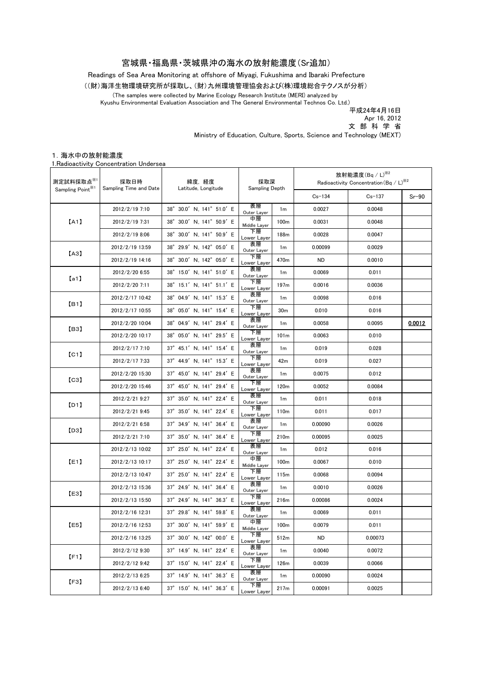## 宮城県・福島県・茨城県沖の海水の放射能濃度(Sr追加)

Readings of Sea Area Monitoring at offshore of Miyagi, Fukushima and Ibaraki Prefecture

((財)海洋生物環境研究所が採取し、(財)九州環境管理協会および(株)環境総合テクノスが分析)

(The samples were collected by Marine Ecology Research Institute (MERI) analyzed by

Kyushu Environmental Evaluation Association and The General Environmental Technos Co. Ltd.)

。<br>平成24年4月16日

 文 部 科 学 省 Apr 16, 2012

Ministry of Education, Culture, Sports, Science and Technology (MEXT)

## 1.海水中の放射能濃度

1.Radioactivity Concentration Undersea

| 測定試料採取点※1<br>Sampling Point <sup>*1</sup> | 採取日時<br>Sampling Time and Date | 緯度.経度<br>Latitude, Longitude                 | 採取深<br>Sampling Depth |                  | 放射能濃度 $($ Bq $/$ L $)$ <sup>※2</sup><br>Radioactivity Concentration (Bq / L) <sup>362</sup> |          |         |
|-------------------------------------------|--------------------------------|----------------------------------------------|-----------------------|------------------|---------------------------------------------------------------------------------------------|----------|---------|
|                                           |                                |                                              |                       |                  | $Cs-134$                                                                                    | $Cs-137$ | $Sr-90$ |
| [A1]                                      | 2012/2/19 7:10                 | 38° 30.0' N, 141° 51.0' E                    | 表層<br>Outer Layer     | 1 <sub>m</sub>   | 0.0027                                                                                      | 0.0048   |         |
|                                           | 2012/2/19 7:31                 | 38° 30.0' N, 141° 50.9' E                    | 中層<br>Middle Layer    | 100m             | 0.0031                                                                                      | 0.0048   |         |
|                                           | 2012/2/19 8:06                 | 38° 30.0' N, 141° 50.9' E                    | 下層<br>Lower Layer     | 188m             | 0.0028                                                                                      | 0.0047   |         |
| (A3)                                      | 2012/2/19 13:59                | 38° 29.9' N, 142° 05.0' E                    | 表層<br>Outer Layer     | 1 <sub>m</sub>   | 0.00099                                                                                     | 0.0029   |         |
|                                           | 2012/2/19 14:16                | 38° 30.0' N, 142° 05.0' E                    | 下層<br>Lower Layer     | 470m             | <b>ND</b>                                                                                   | 0.0010   |         |
| [a1]                                      | 2012/2/20 6:55                 | 38° 15.0' N, 141° 51.0' E                    | 表層<br>Outer Layer     | 1 <sub>m</sub>   | 0.0069                                                                                      | 0.011    |         |
|                                           | 2012/2/20 7:11                 | 38° 15.1' N, 141° 51.1' E                    | 下層<br>Lower Layer     | 197m             | 0.0016                                                                                      | 0.0036   |         |
| [B1]                                      | 2012/2/17 10:42                | 38° 04.9' N, 141° 15.3' E                    | 表層<br>Outer Layer     | 1 <sub>m</sub>   | 0.0098                                                                                      | 0.016    |         |
|                                           | 2012/2/17 10:55                | 38° 05.0' N, 141° 15.4' E                    | 下層<br>Lower Layer     | 30 <sub>m</sub>  | 0.010                                                                                       | 0.016    |         |
| 【B3】                                      | 2012/2/20 10:04                | 38° 04.9' N, 141° 29.4' E                    | 表層<br>Outer Layer     | 1 <sub>m</sub>   | 0.0058                                                                                      | 0.0095   | 0.0012  |
|                                           | 2012/2/20 10:17                | 38° 05.0' N, 141° 29.5' E                    | 下層<br>Lower Layer     | 101m             | 0.0063                                                                                      | 0.010    |         |
| [C1]                                      | 2012/2/17 7:10                 | 37° 45.1' N, 141° 15.4' E                    | 表層<br>Outer Layer     | 1 <sub>m</sub>   | 0.019                                                                                       | 0.028    |         |
|                                           | 2012/2/17 7:33                 | 37° 44.9' N, 141° 15.3' E                    | 下層<br>Lower Layer     | 42m              | 0.019                                                                                       | 0.027    |         |
| $\left[\mathrm{C}3\right]$                | 2012/2/20 15:30                | 37° 45.0' N, 141° 29.4' E                    | 表層<br>Outer Layer     | 1 <sub>m</sub>   | 0.0075                                                                                      | 0.012    |         |
|                                           | 2012/2/20 15:46                | 37° 45.0' N, 141° 29.4' E                    | 下層<br>Lower Layer     | 120m             | 0.0052                                                                                      | 0.0084   |         |
| [D1]                                      | 2012/2/21 9:27                 | 37° 35.0' N, 141° 22.4' E                    | 表層<br>Outer Layer     | 1 <sub>m</sub>   | 0.011                                                                                       | 0.018    |         |
|                                           | 2012/2/21 9:45                 | 37° 35.0' N, 141° 22.4' E                    | 下層<br>Lower Layer     | 110m             | 0.011                                                                                       | 0.017    |         |
| [D3]                                      | 2012/2/21 6:58                 | 37° 34.9' N, 141° 36.4' E                    | 表層<br>Outer Layer     | 1 <sub>m</sub>   | 0.00090                                                                                     | 0.0026   |         |
|                                           | 2012/2/21 7:10                 | 37° 35.0' N, 141° 36.4' E                    | 下層<br>Lower Layer     | 210m             | 0.00095                                                                                     | 0.0025   |         |
| [E1]                                      | 2012/2/13 10:02                | 37° 25.0' N, 141° 22.4' E                    | 表層<br>Outer Layer     | 1 <sub>m</sub>   | 0.012                                                                                       | 0.016    |         |
|                                           | 2012/2/13 10:17                | 37° 25.0' N, 141° 22.4' E                    | 中層<br>Middle Layer    | 100 <sub>m</sub> | 0.0067                                                                                      | 0.010    |         |
|                                           | 2012/2/13 10:47                | 37° 25.0' N, 141° 22.4' E                    | 下層<br>Lower Layer     | 115m             | 0.0068                                                                                      | 0.0094   |         |
| [E3]                                      | 2012/2/13 15:36                | 37° 24.9' N, 141° 36.4' E                    | 表層<br>Outer Layer     | 1 <sub>m</sub>   | 0.0010                                                                                      | 0.0026   |         |
|                                           | 2012/2/13 15:50                | 37° 24.9' N, 141° 36.3' E                    | 下層<br>Lower Layer     | 216m             | 0.00086                                                                                     | 0.0024   |         |
| 【E5】                                      | 2012/2/16 12:31                | 37° 29.8' N, 141° 59.8' E                    | 表層<br>Outer Layer     | 1 <sub>m</sub>   | 0.0069                                                                                      | 0.011    |         |
|                                           | 2012/2/16 12:53                | 37° 30.0' N, 141° 59.9' E                    | 中層<br>Middle Layer    | 100m             | 0.0079                                                                                      | 0.011    |         |
|                                           | 2012/2/16 13:25                | 37° 30.0' N, 142° 00.0' E                    | 下層<br>Lower Layer     | 512m             | <b>ND</b>                                                                                   | 0.00073  |         |
| [F1]                                      | 2012/2/12 9:30                 | 37° 14.9' N, 141° 22.4' E                    | 表層<br>Outer Layer     | 1 <sub>m</sub>   | 0.0040                                                                                      | 0.0072   |         |
|                                           | 2012/2/12 9:42                 | 37° 15.0' N, 141° 22.4' E                    | 下層<br>Lower Layer     | 126m             | 0.0039                                                                                      | 0.0066   |         |
| [F3]                                      | 2012/2/13 6:25                 | 37° 14.9' N, 141° 36.3' E                    | 表層<br>Outer Layer     | 1 <sub>m</sub>   | 0.00090                                                                                     | 0.0024   |         |
|                                           | 2012/2/13 6:40                 | $37^{\circ}$ 15.0' N, 141 $^{\circ}$ 36.3' E | 下層<br>Lower Layer     | 217m             | 0.00091                                                                                     | 0.0025   |         |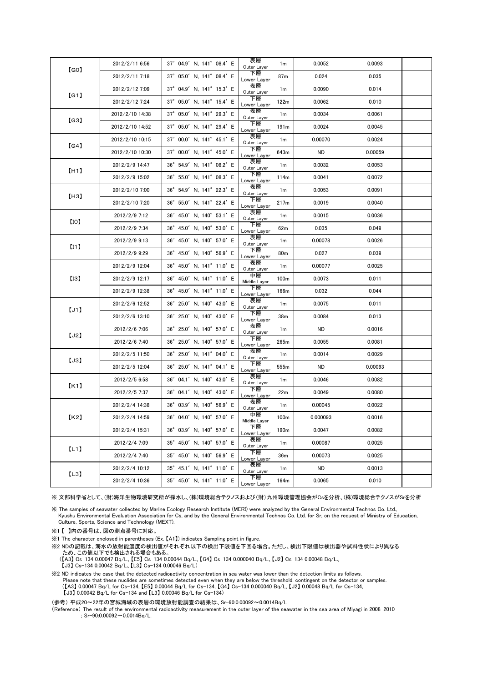| [GO] | 2012/2/11 6:56  | 37° 04.9' N, 141° 08.4' E                    | 表層<br>Outer Layer  | 1m               | 0.0052    | 0.0093  |  |
|------|-----------------|----------------------------------------------|--------------------|------------------|-----------|---------|--|
|      | 2012/2/11 7:18  | 37° 05.0' N, 141° 08.4' E                    | 下層<br>Lower Layer  | 87m              | 0.024     | 0.035   |  |
| [G1] | 2012/2/12 7:09  | 37° 04.9' N, 141° 15.3' E                    | 表層<br>Outer Layer  | 1m               | 0.0090    | 0.014   |  |
|      | 2012/2/12 7:24  | 37° 05.0' N, 141° 15.4' E                    | 下層<br>Lower Layer  | 122m             | 0.0062    | 0.010   |  |
| (G3) | 2012/2/10 14:38 | 37° 05.0' N, 141° 29.3' E                    | 表層<br>Outer Layer  | 1 <sub>m</sub>   | 0.0034    | 0.0061  |  |
|      | 2012/2/10 14:52 | 37° 05.0' N, 141° 29.4' E                    | 下層<br>Lower Layer  | 191 <sub>m</sub> | 0.0024    | 0.0045  |  |
| [G4] | 2012/2/10 10:15 | 37° 00.0' N, 141° 45.1' E                    | 表層<br>Outer Layer  | 1 <sub>m</sub>   | 0.00070   | 0.0024  |  |
|      | 2012/2/10 10:30 | 37° 00.0' N, 141° 45.0' E                    | 下層<br>Lower Layer  | 643m             | ND.       | 0.00059 |  |
| [H1] | 2012/2/9 14:47  | $36^{\circ}$ 54.9' N, 141 $^{\circ}$ 08.2' E | 表層<br>Outer Layer  | 1m               | 0.0032    | 0.0053  |  |
|      | 2012/2/9 15:02  | 36° 55.0' N, 141° 08.3' E                    | 下層<br>Lower Layer  | 114m             | 0.0041    | 0.0072  |  |
| [H3] | 2012/2/10 7:00  | 36° 54.9' N, 141° 22.3' E                    | 表層<br>Outer Layer  | 1m               | 0.0053    | 0.0091  |  |
|      | 2012/2/10 7:20  | 36° 55.0' N, 141° 22.4' E                    | 下層<br>Lower Layer  | 217m             | 0.0019    | 0.0040  |  |
| [10] | 2012/2/9 7:12   | 36° 45.0' N, 140° 53.1' E                    | 表層<br>Outer Layer  | 1m               | 0.0015    | 0.0036  |  |
|      | 2012/2/9 7:34   | 36° 45.0' N, 140° 53.0' E                    | 下層<br>Lower Layer  | 62m              | 0.035     | 0.049   |  |
| [11] | 2012/2/9 9:13   | 36° 45.0' N, 140° 57.0' E                    | 表層<br>Outer Layer  | 1 <sub>m</sub>   | 0.00078   | 0.0026  |  |
|      | 2012/2/9 9:29   | 36° 45.0' N, 140° 56.9' E                    | 下層<br>Lower Layer  | 80 <sub>m</sub>  | 0.027     | 0.039   |  |
|      | 2012/2/9 12:04  | 36° 45.0' N, 141° 11.0' E                    | 表層<br>Outer Layer  | 1 <sub>m</sub>   | 0.00077   | 0.0025  |  |
| [13] | 2012/2/9 12:17  | 36° 45.0' N, 141° 11.0' E                    | 中層<br>Middle Layer | 100 <sub>m</sub> | 0.0073    | 0.011   |  |
|      | 2012/2/9 12:38  | 36° 45.0' N, 141° 11.0' E                    | 下層<br>Lower Layer  | 166m             | 0.032     | 0.044   |  |
| [J1] | 2012/2/6 12:52  | 36° 25.0' N, 140° 43.0' E                    | 表層<br>Outer Layer  | 1 <sub>m</sub>   | 0.0075    | 0.011   |  |
|      | 2012/2/6 13:10  | 36° 25.0' N, 140° 43.0' E                    | 下層<br>Lower Layer  | 38m              | 0.0084    | 0.013   |  |
| [J2] | 2012/2/6 7:06   | 36° 25.0' N, 140° 57.0' E                    | 表層<br>Outer Layer  | 1 <sub>m</sub>   | ND.       | 0.0016  |  |
|      | 2012/2/6 7:40   | 36° 25.0' N, 140° 57.0' E                    | 下層<br>Lower Layer  | 265m             | 0.0055    | 0.0081  |  |
| [J3] | 2012/2/5 11:50  | 36° 25.0' N, 141° 04.0' E                    | 表層<br>Outer Layer  | 1m               | 0.0014    | 0.0029  |  |
|      | 2012/2/5 12:04  | 36° 25.0' N, 141° 04.1' E                    | 下層<br>Lower Layer  | 555m             | <b>ND</b> | 0.00093 |  |
| K1   | 2012/2/5 6:58   | 36° 04.1' N, 140° 43.0' E                    | 表層<br>Outer Layer  | 1m               | 0.0046    | 0.0082  |  |
|      | 2012/2/5 7:37   | 36° 04.1' N, 140° 43.0' E                    | 下層<br>Lower Layer  | 22m              | 0.0049    | 0.0080  |  |
| 【K2】 | 2012/2/4 14:38  | 36° 03.9' N, 140° 56.9' E                    | 表層<br>Outer Layer  | 1m               | 0.00045   | 0.0022  |  |
|      | 2012/2/4 14:59  | 36° 04.0' N, 140° 57.0' E                    | 中層<br>Middle Layer | 100m             | 0.000093  | 0.0016  |  |
|      | 2012/2/4 15:31  | 36° 03.9' N, 140° 57.0' E                    | 下層<br>Lower Layer  | 190 <sub>m</sub> | 0.0047    | 0.0082  |  |
| [L1] | 2012/2/4 7:09   | 35° 45.0' N, 140° 57.0' E                    | 表層<br>Outer Layer  | 1 <sub>m</sub>   | 0.00087   | 0.0025  |  |
|      | 2012/2/4 7:40   | 35° 45.0' N, 140° 56.9' E                    | 下層<br>Lower Layer  | 36m              | 0.00073   | 0.0025  |  |
| [L3] | 2012/2/4 10:12  | 35° 45.1' N, 141° 11.0' E                    | 表層<br>Outer Layer  | 1 <sub>m</sub>   | ND.       | 0.0013  |  |
|      | 2012/2/4 10:36  | 35° 45.0' N, 141° 11.0' E                    | 下層<br>Lower Layer  | 164m             | 0.0065    | 0.010   |  |

※ 文部科学省として、(財)海洋生物環境研究所が採水し、(株)環境総合テクノスおよび(財)九州環境管理協会がCsを分析、(株)環境総合テクノスがSrを分析

※ The samples of seawater collected by Marine Ecology Research Institute (MERI) were analyzed by the General Environmental Technos Co. Ltd., Kyushu Environmental Evaluation Association for Cs, and by the General Environmental Technos Co. Ltd. for Sr, on the request of Ministry of Education, Culture, Sports, Science and Technology (MEXT).

※1 【 】内の番号は、図の測点番号に対応。

※1 The character enclosed in parentheses (Ex. 【A1】) indicates Sampling point in figure.

※2 NDの記載は、海水の放射能濃度の検出値がそれぞれ以下の検出下限値を下回る場合。ただし、検出下限値は検出器や試料性状により異なる ため、この値以下でも検出される場合もある。<br>(【A3】 Cs-134 0.00047 Bq/L、【E5】 Cs-134 0.00044 Bq/L、【G4】 Cs-134 0.000040 Bq/L、【J2】 Cs-134 0.00048 Bq/L、<br>【J3】 Cs-134 0.00042 Bq/L、【L3】 Cs-134 0.00046 Bq/L)

※2 ND indicates the case that the detected radioactivity concentration in sea water was lower than the detection limits as follows. Please note that these nuclides are sometimes detected even when they are below the threshold, contingent on the detector or samples. (【A3】 0.00047 Bq/L for Cs-134, 【E5】 0.00044 Bq/L for Cs-134, 【G4】 Cs-134 0.000040 Bq/L, 【J2】 0.00048 Bq/L for Cs-134, 【J3】 0.00042 Bq/L for Cs-134 and 【L3】 0.00046 Bq/L for Cs-134)

(参考) 平成20~22年の宮城海域の表層の環境放射能調査の結果は、Sr-90:0.00092~0.0014Bq/L

(Reference) The result of the environmental radioactivity measurement in the outer layer of the seawater in the sea area of Miyagi in 2008-2010 ; Sr-90:0.00092~0.0014Bq/L.